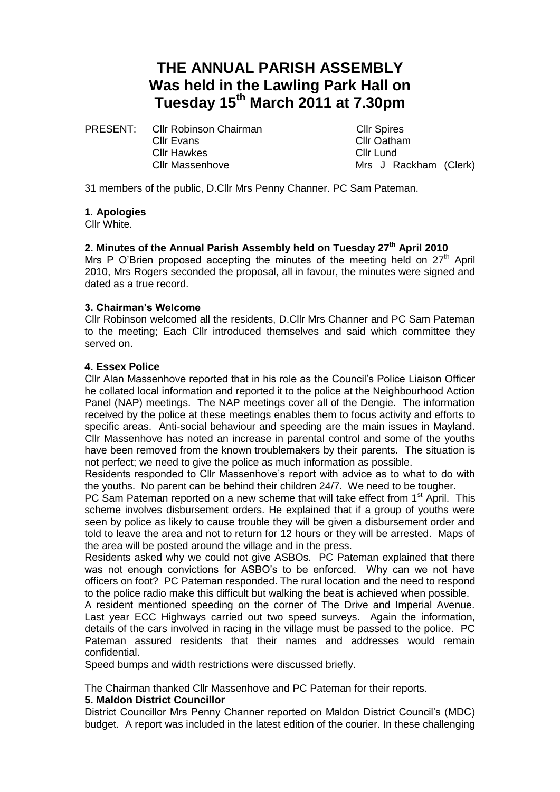# **THE ANNUAL PARISH ASSEMBLY Was held in the Lawling Park Hall on Tuesday 15th March 2011 at 7.30pm**

PRESENT: Cllr Robinson Chairman Cllr Spires Cllr Evans Cllr Oatham Cllr Hawkes Cllr Lund

Cllr Massenhove Mrs J Rackham (Clerk)

31 members of the public, D.Cllr Mrs Penny Channer. PC Sam Pateman.

## **1**. **Apologies**

Cllr White.

# **2. Minutes of the Annual Parish Assembly held on Tuesday 27 th April 2010**

Mrs P O'Brien proposed accepting the minutes of the meeting held on  $27<sup>th</sup>$  April 2010, Mrs Rogers seconded the proposal, all in favour, the minutes were signed and dated as a true record.

## **3. Chairman's Welcome**

Cllr Robinson welcomed all the residents, D.Cllr Mrs Channer and PC Sam Pateman to the meeting; Each Cllr introduced themselves and said which committee they served on.

## **4. Essex Police**

Cllr Alan Massenhove reported that in his role as the Council's Police Liaison Officer he collated local information and reported it to the police at the Neighbourhood Action Panel (NAP) meetings. The NAP meetings cover all of the Dengie. The information received by the police at these meetings enables them to focus activity and efforts to specific areas. Anti-social behaviour and speeding are the main issues in Mayland. Cllr Massenhove has noted an increase in parental control and some of the youths have been removed from the known troublemakers by their parents. The situation is not perfect; we need to give the police as much information as possible.

Residents responded to Cllr Massenhove's report with advice as to what to do with the youths. No parent can be behind their children 24/7. We need to be tougher.

PC Sam Pateman reported on a new scheme that will take effect from 1<sup>st</sup> April. This scheme involves disbursement orders. He explained that if a group of youths were seen by police as likely to cause trouble they will be given a disbursement order and told to leave the area and not to return for 12 hours or they will be arrested. Maps of the area will be posted around the village and in the press.

Residents asked why we could not give ASBOs. PC Pateman explained that there was not enough convictions for ASBO's to be enforced. Why can we not have officers on foot? PC Pateman responded. The rural location and the need to respond to the police radio make this difficult but walking the beat is achieved when possible.

A resident mentioned speeding on the corner of The Drive and Imperial Avenue. Last year ECC Highways carried out two speed surveys. Again the information, details of the cars involved in racing in the village must be passed to the police. PC Pateman assured residents that their names and addresses would remain confidential.

Speed bumps and width restrictions were discussed briefly.

The Chairman thanked Cllr Massenhove and PC Pateman for their reports.

## **5. Maldon District Councillor**

District Councillor Mrs Penny Channer reported on Maldon District Council's (MDC) budget. A report was included in the latest edition of the courier. In these challenging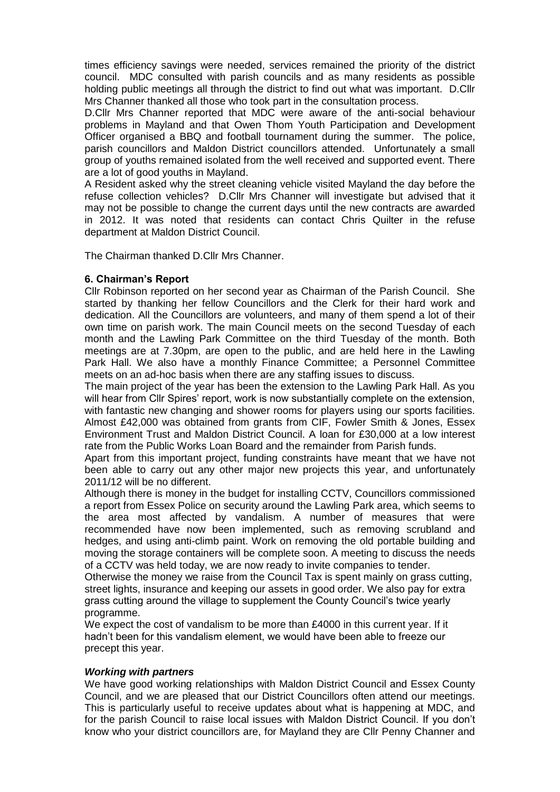times efficiency savings were needed, services remained the priority of the district council. MDC consulted with parish councils and as many residents as possible holding public meetings all through the district to find out what was important. D.Cllr Mrs Channer thanked all those who took part in the consultation process.

D.Cllr Mrs Channer reported that MDC were aware of the anti-social behaviour problems in Mayland and that Owen Thom Youth Participation and Development Officer organised a BBQ and football tournament during the summer. The police, parish councillors and Maldon District councillors attended. Unfortunately a small group of youths remained isolated from the well received and supported event. There are a lot of good youths in Mayland.

A Resident asked why the street cleaning vehicle visited Mayland the day before the refuse collection vehicles? D.Cllr Mrs Channer will investigate but advised that it may not be possible to change the current days until the new contracts are awarded in 2012. It was noted that residents can contact Chris Quilter in the refuse department at Maldon District Council.

The Chairman thanked D.Cllr Mrs Channer.

# **6. Chairman's Report**

Cllr Robinson reported on her second year as Chairman of the Parish Council. She started by thanking her fellow Councillors and the Clerk for their hard work and dedication. All the Councillors are volunteers, and many of them spend a lot of their own time on parish work. The main Council meets on the second Tuesday of each month and the Lawling Park Committee on the third Tuesday of the month. Both meetings are at 7.30pm, are open to the public, and are held here in the Lawling Park Hall. We also have a monthly Finance Committee; a Personnel Committee meets on an ad-hoc basis when there are any staffing issues to discuss.

The main project of the year has been the extension to the Lawling Park Hall. As you will hear from Cllr Spires' report, work is now substantially complete on the extension, with fantastic new changing and shower rooms for players using our sports facilities. Almost £42,000 was obtained from grants from CIF, Fowler Smith & Jones, Essex Environment Trust and Maldon District Council. A loan for £30,000 at a low interest rate from the Public Works Loan Board and the remainder from Parish funds.

Apart from this important project, funding constraints have meant that we have not been able to carry out any other major new projects this year, and unfortunately 2011/12 will be no different.

Although there is money in the budget for installing CCTV, Councillors commissioned a report from Essex Police on security around the Lawling Park area, which seems to the area most affected by vandalism. A number of measures that were recommended have now been implemented, such as removing scrubland and hedges, and using anti-climb paint. Work on removing the old portable building and moving the storage containers will be complete soon. A meeting to discuss the needs of a CCTV was held today, we are now ready to invite companies to tender.

Otherwise the money we raise from the Council Tax is spent mainly on grass cutting, street lights, insurance and keeping our assets in good order. We also pay for extra grass cutting around the village to supplement the County Council's twice yearly programme.

We expect the cost of vandalism to be more than £4000 in this current year. If it hadn't been for this vandalism element, we would have been able to freeze our precept this year.

# *Working with partners*

We have good working relationships with Maldon District Council and Essex County Council, and we are pleased that our District Councillors often attend our meetings. This is particularly useful to receive updates about what is happening at MDC, and for the parish Council to raise local issues with Maldon District Council. If you don't know who your district councillors are, for Mayland they are Cllr Penny Channer and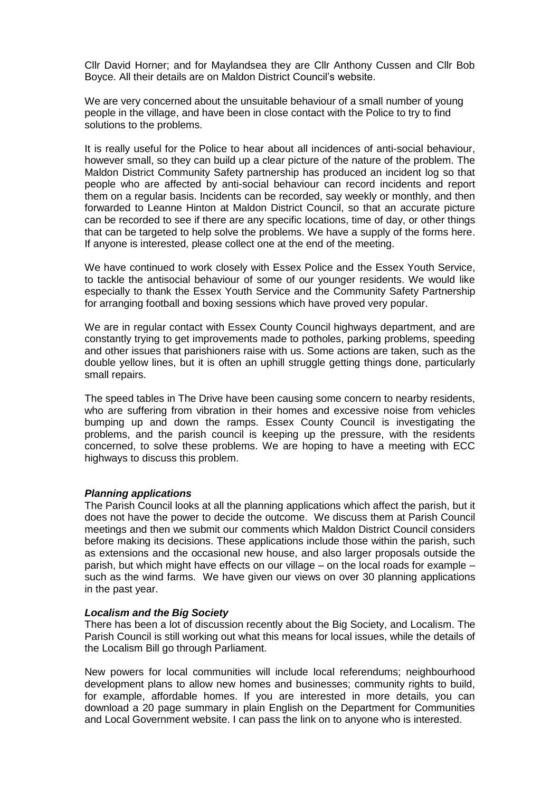Cllr David Horner; and for Maylandsea they are Cllr Anthony Cussen and Cllr Bob Boyce. All their details are on Maldon District Council's website.

We are very concerned about the unsuitable behaviour of a small number of young people in the village, and have been in close contact with the Police to try to find solutions to the problems.

It is really useful for the Police to hear about all incidences of anti-social behaviour, however small, so they can build up a clear picture of the nature of the problem. The Maldon District Community Safety partnership has produced an incident log so that people who are affected by anti-social behaviour can record incidents and report them on a regular basis. Incidents can be recorded, say weekly or monthly, and then forwarded to Leanne Hinton at Maldon District Council, so that an accurate picture can be recorded to see if there are any specific locations, time of day, or other things that can be targeted to help solve the problems. We have a supply of the forms here. If anyone is interested, please collect one at the end of the meeting.

We have continued to work closely with Essex Police and the Essex Youth Service, to tackle the antisocial behaviour of some of our younger residents. We would like especially to thank the Essex Youth Service and the Community Safety Partnership for arranging football and boxing sessions which have proved very popular.

We are in regular contact with Essex County Council highways department, and are constantly trying to get improvements made to potholes, parking problems, speeding and other issues that parishioners raise with us. Some actions are taken, such as the double yellow lines, but it is often an uphill struggle getting things done, particularly small repairs.

The speed tables in The Drive have been causing some concern to nearby residents, who are suffering from vibration in their homes and excessive noise from vehicles bumping up and down the ramps. Essex County Council is investigating the problems, and the parish council is keeping up the pressure, with the residents concerned, to solve these problems. We are hoping to have a meeting with ECC highways to discuss this problem.

## *Planning applications*

The Parish Council looks at all the planning applications which affect the parish, but it does not have the power to decide the outcome. We discuss them at Parish Council meetings and then we submit our comments which Maldon District Council considers before making its decisions. These applications include those within the parish, such as extensions and the occasional new house, and also larger proposals outside the parish, but which might have effects on our village – on the local roads for example – such as the wind farms. We have given our views on over 30 planning applications in the past year.

## *Localism and the Big Society*

There has been a lot of discussion recently about the Big Society, and Localism. The Parish Council is still working out what this means for local issues, while the details of the Localism Bill go through Parliament.

New powers for local communities will include local referendums; neighbourhood development plans to allow new homes and businesses; community rights to build, for example, affordable homes. If you are interested in more details, you can download a 20 page summary in plain English on the Department for Communities and Local Government website. I can pass the link on to anyone who is interested.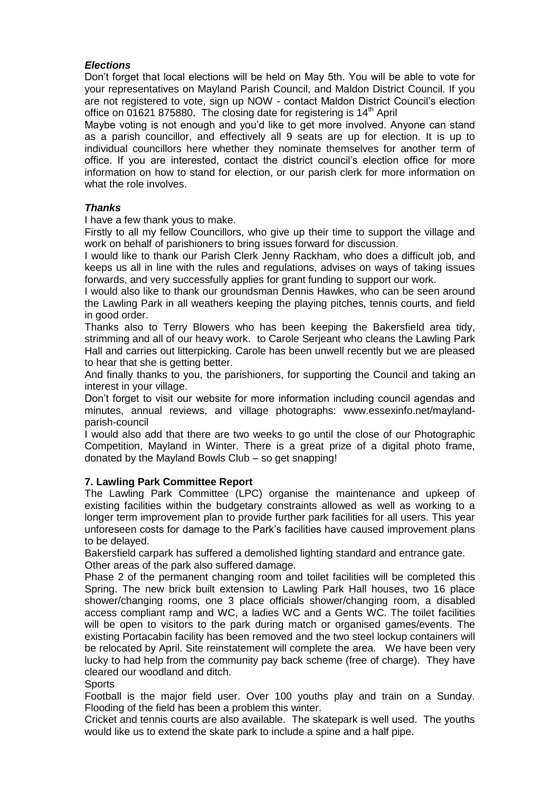# *Elections*

Don't forget that local elections will be held on May 5th. You will be able to vote for your representatives on Mayland Parish Council, and Maldon District Council. If you are not registered to vote, sign up NOW - contact Maldon District Council's election office on 01621 875880. The closing date for registering is 14<sup>th</sup> April

Maybe voting is not enough and you'd like to get more involved. Anyone can stand as a parish councillor, and effectively all 9 seats are up for election. It is up to individual councillors here whether they nominate themselves for another term of office. If you are interested, contact the district council's election office for more information on how to stand for election, or our parish clerk for more information on what the role involves.

# *Thanks*

I have a few thank yous to make.

Firstly to all my fellow Councillors, who give up their time to support the village and work on behalf of parishioners to bring issues forward for discussion.

I would like to thank our Parish Clerk Jenny Rackham, who does a difficult job, and keeps us all in line with the rules and regulations, advises on ways of taking issues forwards, and very successfully applies for grant funding to support our work.

I would also like to thank our groundsman Dennis Hawkes, who can be seen around the Lawling Park in all weathers keeping the playing pitches, tennis courts, and field in good order.

Thanks also to Terry Blowers who has been keeping the Bakersfield area tidy, strimming and all of our heavy work. to Carole Serjeant who cleans the Lawling Park Hall and carries out litterpicking. Carole has been unwell recently but we are pleased to hear that she is getting better.

And finally thanks to you, the parishioners, for supporting the Council and taking an interest in your village.

Don't forget to visit our website for more information including council agendas and minutes, annual reviews, and village photographs: www.essexinfo.net/maylandparish-council

I would also add that there are two weeks to go until the close of our Photographic Competition, Mayland in Winter. There is a great prize of a digital photo frame, donated by the Mayland Bowls Club – so get snapping!

# **7. Lawling Park Committee Report**

The Lawling Park Committee (LPC) organise the maintenance and upkeep of existing facilities within the budgetary constraints allowed as well as working to a longer term improvement plan to provide further park facilities for all users. This year unforeseen costs for damage to the Park's facilities have caused improvement plans to be delayed.

Bakersfield carpark has suffered a demolished lighting standard and entrance gate. Other areas of the park also suffered damage.

Phase 2 of the permanent changing room and toilet facilities will be completed this Spring. The new brick built extension to Lawling Park Hall houses, two 16 place shower/changing rooms, one 3 place officials shower/changing room, a disabled access compliant ramp and WC, a ladies WC and a Gents WC. The toilet facilities will be open to visitors to the park during match or organised games/events. The existing Portacabin facility has been removed and the two steel lockup containers will be relocated by April. Site reinstatement will complete the area. We have been very lucky to had help from the community pay back scheme (free of charge). They have cleared our woodland and ditch.

# **Sports**

Football is the major field user. Over 100 youths play and train on a Sunday. Flooding of the field has been a problem this winter.

Cricket and tennis courts are also available. The skatepark is well used. The youths would like us to extend the skate park to include a spine and a half pipe.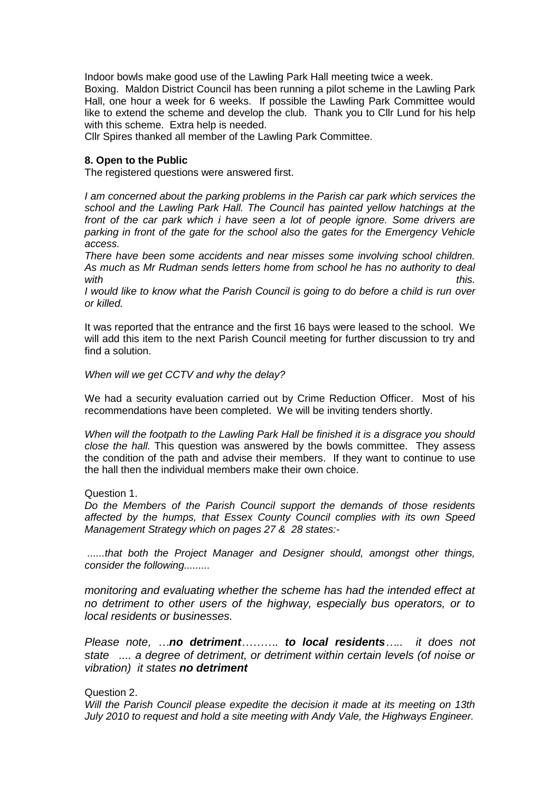Indoor bowls make good use of the Lawling Park Hall meeting twice a week.

Boxing. Maldon District Council has been running a pilot scheme in the Lawling Park Hall, one hour a week for 6 weeks. If possible the Lawling Park Committee would like to extend the scheme and develop the club. Thank you to Cllr Lund for his help with this scheme. Extra help is needed.

Cllr Spires thanked all member of the Lawling Park Committee.

# **8. Open to the Public**

The registered questions were answered first.

*I am concerned about the parking problems in the Parish car park which services the school and the Lawling Park Hall. The Council has painted yellow hatchings at the front of the car park which i have seen a lot of people ignore. Some drivers are parking in front of the gate for the school also the gates for the Emergency Vehicle access.*

*There have been some accidents and near misses some involving school children. As much as Mr Rudman sends letters home from school he has no authority to deal*  with this.

*I would like to know what the Parish Council is going to do before a child is run over or killed.*

It was reported that the entrance and the first 16 bays were leased to the school. We will add this item to the next Parish Council meeting for further discussion to try and find a solution.

## *When will we get CCTV and why the delay?*

We had a security evaluation carried out by Crime Reduction Officer. Most of his recommendations have been completed. We will be inviting tenders shortly.

*When will the footpath to the Lawling Park Hall be finished it is a disgrace you should close the hall.* This question was answered by the bowls committee. They assess the condition of the path and advise their members. If they want to continue to use the hall then the individual members make their own choice.

## Question 1.

*Do the Members of the Parish Council support the demands of those residents affected by the humps, that Essex County Council complies with its own Speed Management Strategy which on pages 27 & 28 states:-*

*......that both the Project Manager and Designer should, amongst other things, consider the following.........*

*monitoring and evaluating whether the scheme has had the intended effect at no detriment to other users of the highway, especially bus operators, or to local residents or businesses.*

*Please note, …no detriment………. to local residents….. it does not state .... a degree of detriment, or detriment within certain levels (of noise or vibration) it states no detriment*

# Question 2.

*Will the Parish Council please expedite the decision it made at its meeting on 13th July 2010 to request and hold a site meeting with Andy Vale, the Highways Engineer.*